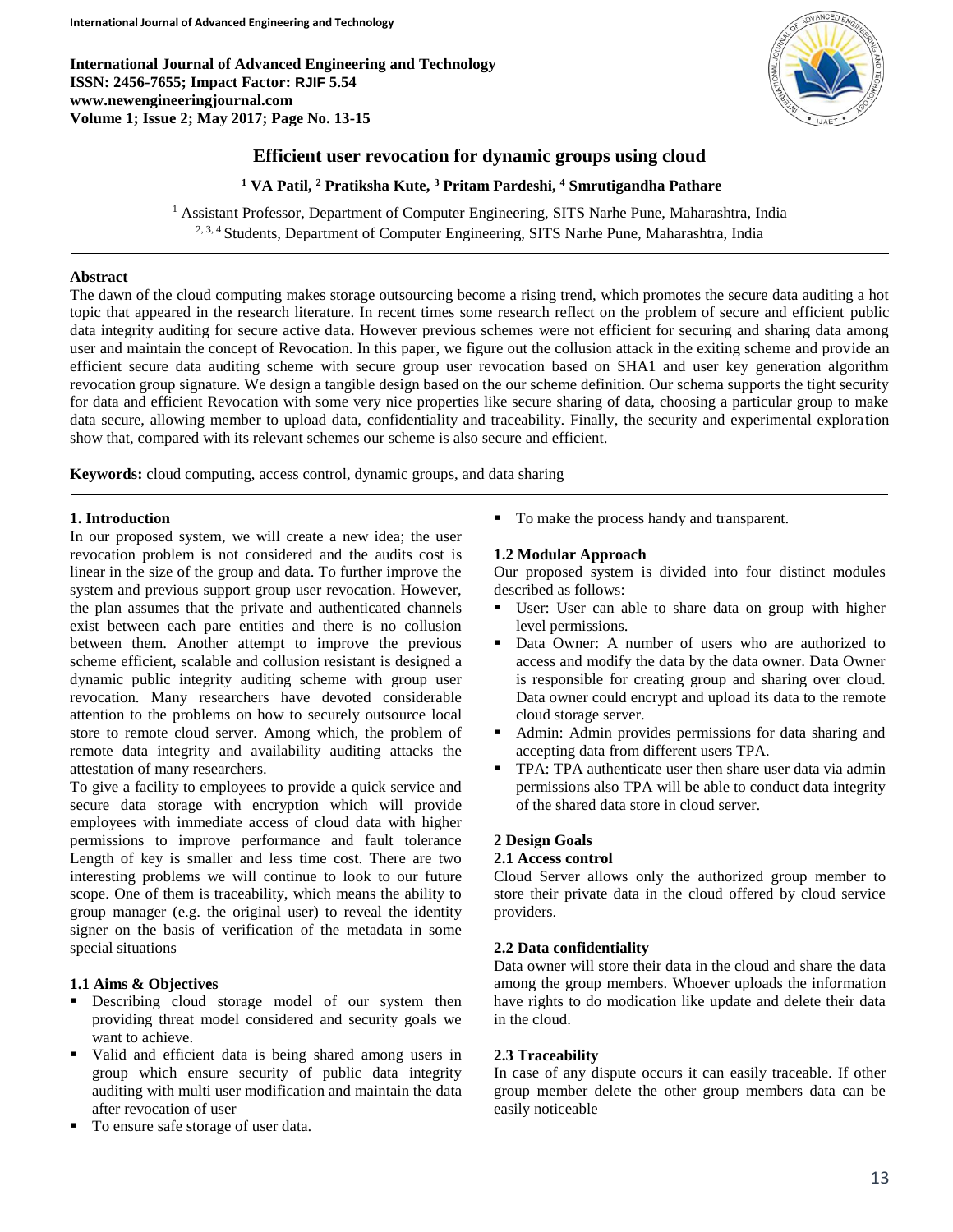**International Journal of Advanced Engineering and Technology ISSN: 2456-7655; Impact Factor: RJIF 5.54 www.newengineeringjournal.com Volume 1; Issue 2; May 2017; Page No. 13-15**



# **Efficient user revocation for dynamic groups using cloud**

**<sup>1</sup> VA Patil, <sup>2</sup> Pratiksha Kute, <sup>3</sup> Pritam Pardeshi, <sup>4</sup> Smrutigandha Pathare**

<sup>1</sup> Assistant Professor, Department of Computer Engineering, SITS Narhe Pune, Maharashtra, India <sup>2, 3, 4</sup> Students, Department of Computer Engineering, SITS Narhe Pune, Maharashtra, India

## **Abstract**

The dawn of the cloud computing makes storage outsourcing become a rising trend, which promotes the secure data auditing a hot topic that appeared in the research literature. In recent times some research reflect on the problem of secure and efficient public data integrity auditing for secure active data. However previous schemes were not efficient for securing and sharing data among user and maintain the concept of Revocation. In this paper, we figure out the collusion attack in the exiting scheme and provide an efficient secure data auditing scheme with secure group user revocation based on SHA1 and user key generation algorithm revocation group signature. We design a tangible design based on the our scheme definition. Our schema supports the tight security for data and efficient Revocation with some very nice properties like secure sharing of data, choosing a particular group to make data secure, allowing member to upload data, confidentiality and traceability. Finally, the security and experimental exploration show that, compared with its relevant schemes our scheme is also secure and efficient.

**Keywords:** cloud computing, access control, dynamic groups, and data sharing

### **1. Introduction**

In our proposed system, we will create a new idea; the user revocation problem is not considered and the audits cost is linear in the size of the group and data. To further improve the system and previous support group user revocation. However, the plan assumes that the private and authenticated channels exist between each pare entities and there is no collusion between them. Another attempt to improve the previous scheme efficient, scalable and collusion resistant is designed a dynamic public integrity auditing scheme with group user revocation. Many researchers have devoted considerable attention to the problems on how to securely outsource local store to remote cloud server. Among which, the problem of remote data integrity and availability auditing attacks the attestation of many researchers.

To give a facility to employees to provide a quick service and secure data storage with encryption which will provide employees with immediate access of cloud data with higher permissions to improve performance and fault tolerance Length of key is smaller and less time cost. There are two interesting problems we will continue to look to our future scope. One of them is traceability, which means the ability to group manager (e.g. the original user) to reveal the identity signer on the basis of verification of the metadata in some special situations

## **1.1 Aims & Objectives**

- **Describing cloud storage model of our system then** providing threat model considered and security goals we want to achieve.
- Valid and efficient data is being shared among users in group which ensure security of public data integrity auditing with multi user modification and maintain the data after revocation of user
- To ensure safe storage of user data.

■ To make the process handy and transparent.

### **1.2 Modular Approach**

Our proposed system is divided into four distinct modules described as follows:

- User: User can able to share data on group with higher level permissions.
- Data Owner: A number of users who are authorized to access and modify the data by the data owner. Data Owner is responsible for creating group and sharing over cloud. Data owner could encrypt and upload its data to the remote cloud storage server.
- Admin: Admin provides permissions for data sharing and accepting data from different users TPA.
- TPA: TPA authenticate user then share user data via admin permissions also TPA will be able to conduct data integrity of the shared data store in cloud server.

### **2 Design Goals**

### **2.1 Access control**

Cloud Server allows only the authorized group member to store their private data in the cloud offered by cloud service providers.

### **2.2 Data confidentiality**

Data owner will store their data in the cloud and share the data among the group members. Whoever uploads the information have rights to do modication like update and delete their data in the cloud.

## **2.3 Traceability**

In case of any dispute occurs it can easily traceable. If other group member delete the other group members data can be easily noticeable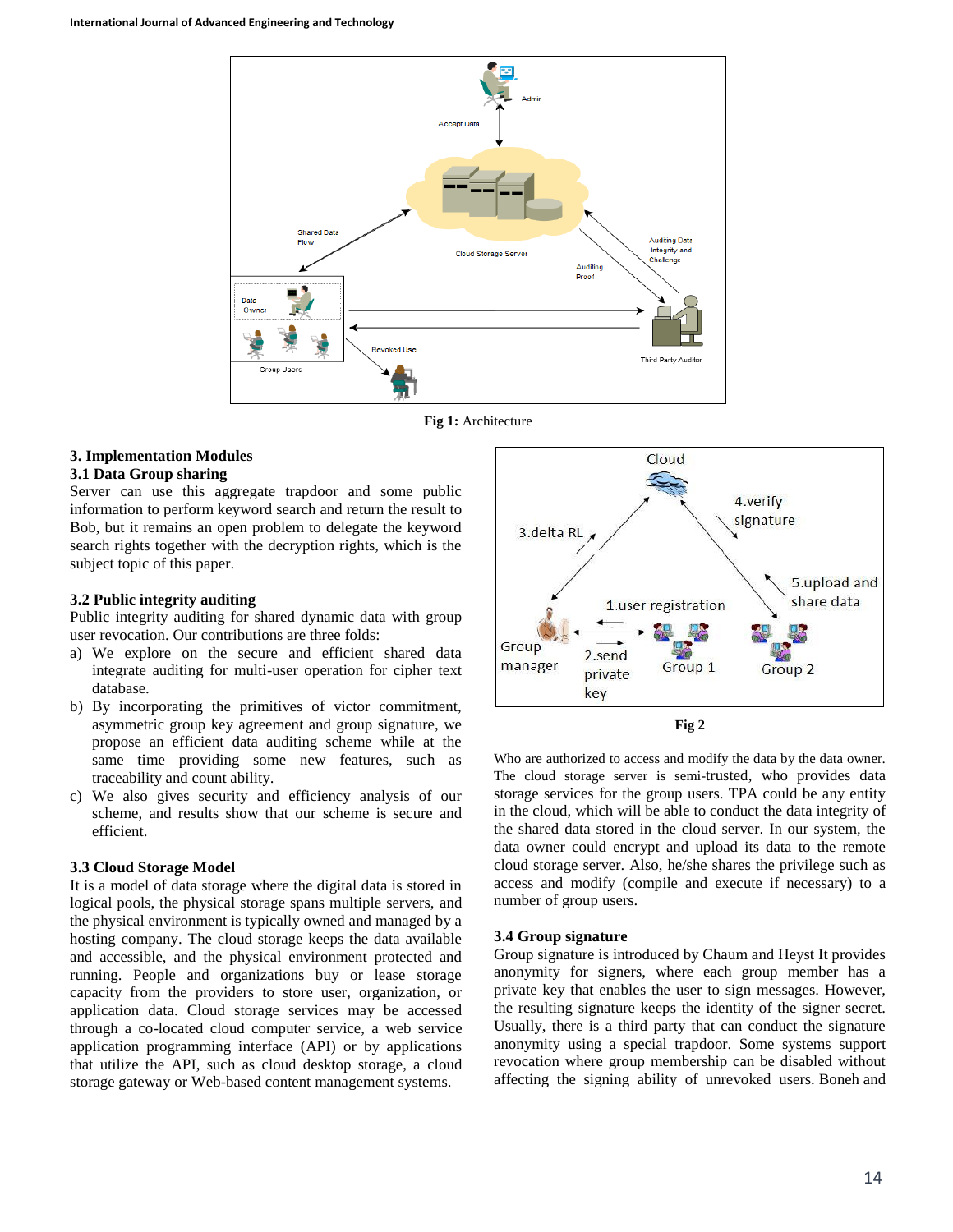

**Fig 1:** Architecture

# **3. Implementation Modules**

# **3.1 Data Group sharing**

Server can use this aggregate trapdoor and some public information to perform keyword search and return the result to Bob, but it remains an open problem to delegate the keyword search rights together with the decryption rights, which is the subject topic of this paper.

### **3.2 Public integrity auditing**

Public integrity auditing for shared dynamic data with group user revocation. Our contributions are three folds:

- a) We explore on the secure and efficient shared data integrate auditing for multi-user operation for cipher text database.
- b) By incorporating the primitives of victor commitment, asymmetric group key agreement and group signature, we propose an efficient data auditing scheme while at the same time providing some new features, such as traceability and count ability.
- c) We also gives security and efficiency analysis of our scheme, and results show that our scheme is secure and efficient.

## **3.3 Cloud Storage Model**

It is a model of data storage where the digital data is stored in logical pools, the physical storage spans multiple servers, and the physical environment is typically owned and managed by a hosting company. The cloud storage keeps the data available and accessible, and the physical environment protected and running. People and organizations buy or lease storage capacity from the providers to store user, organization, or application data. Cloud storage services may be accessed through a co-located cloud computer service, a web service application programming interface (API) or by applications that utilize the API, such as cloud desktop storage, a cloud storage gateway or Web-based content management systems.



**Fig 2**

Who are authorized to access and modify the data by the data owner. The cloud storage server is semi-trusted, who provides data storage services for the group users. TPA could be any entity in the cloud, which will be able to conduct the data integrity of the shared data stored in the cloud server. In our system, the data owner could encrypt and upload its data to the remote cloud storage server. Also, he/she shares the privilege such as access and modify (compile and execute if necessary) to a number of group users.

## **3.4 Group signature**

Group signature is introduced by Chaum and Heyst It provides anonymity for signers, where each group member has a private key that enables the user to sign messages. However, the resulting signature keeps the identity of the signer secret. Usually, there is a third party that can conduct the signature anonymity using a special trapdoor. Some systems support revocation where group membership can be disabled without affecting the signing ability of unrevoked users. Boneh and